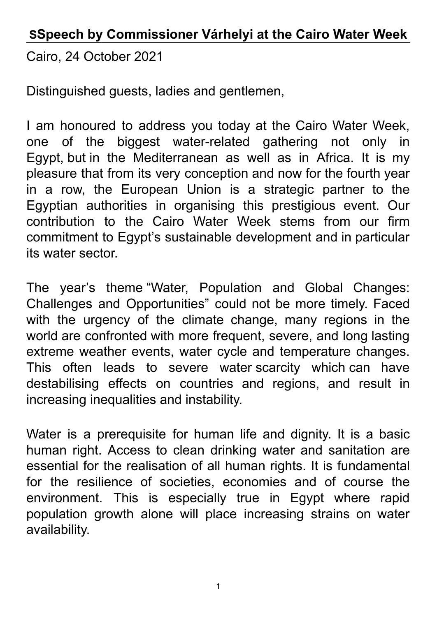## **SSpeech by Commissioner Várhelyi at the Cairo Water Week**

Cairo, 24 October 2021

Distinguished guests, ladies and gentlemen,

I am honoured to address you today at the Cairo Water Week, one of the biggest water-related gathering not only in Egypt, but in the Mediterranean as well as in Africa. It is my pleasure that from its very conception and now for the fourth year in a row, the European Union is a strategic partner to the Egyptian authorities in organising this prestigious event. Our contribution to the Cairo Water Week stems from our firm commitment to Egypt's sustainable development and in particular its water sector.

The year's theme "Water, Population and Global Changes: Challenges and Opportunities" could not be more timely. Faced with the urgency of the climate change, many regions in the world are confronted with more frequent, severe, and long lasting extreme weather events, water cycle and temperature changes. This often leads to severe water scarcity which can have destabilising effects on countries and regions, and result in increasing inequalities and instability.

Water is a prerequisite for human life and dignity. It is a basic human right. Access to clean drinking water and sanitation are essential for the realisation of all human rights. It is fundamental for the resilience of societies, economies and of course the environment. This is especially true in Egypt where rapid population growth alone will place increasing strains on water availability.

1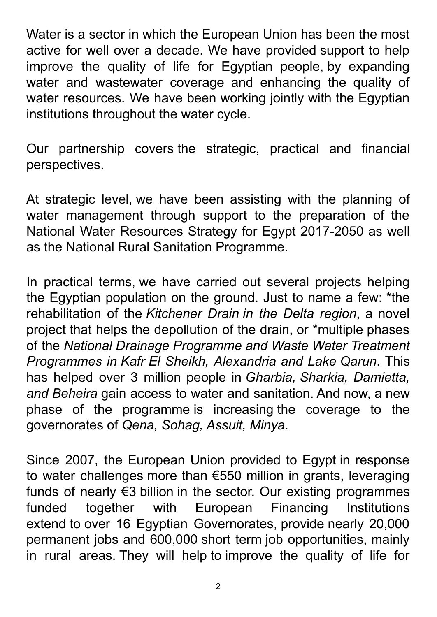Water is a sector in which the European Union has been the most active for well over a decade. We have provided support to help improve the quality of life for Egyptian people, by expanding water and wastewater coverage and enhancing the quality of water resources. We have been working jointly with the Egyptian institutions throughout the water cycle.

Our partnership covers the strategic, practical and financial perspectives.

At strategic level, we have been assisting with the planning of water management through support to the preparation of the National Water Resources Strategy for Egypt 2017-2050 as well as the National Rural Sanitation Programme.

In practical terms, we have carried out several projects helping the Egyptian population on the ground. Just to name a few: \*the rehabilitation of the *Kitchener Drain in the Delta region*, a novel project that helps the depollution of the drain, or \*multiple phases of the *National Drainage Programme and Waste Water Treatment Programmes in Kafr El Sheikh, Alexandria and Lake Qarun*. This has helped over 3 million people in *Gharbia, Sharkia, Damietta, and Beheira* gain access to water and sanitation. And now, a new phase of the programme is increasing the coverage to the governorates of *Qena, Sohag, Assuit, Minya*.

Since 2007, the European Union provided to Egypt in response to water challenges more than €550 million in grants, leveraging funds of nearly €3 billion in the sector. Our existing programmes funded together with European Financing Institutions extend to over 16 Egyptian Governorates, provide nearly 20,000 permanent jobs and 600,000 short term job opportunities, mainly in rural areas. They will help to improve the quality of life for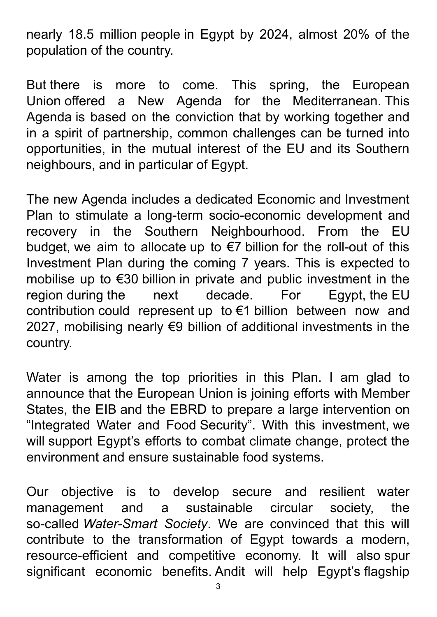nearly 18.5 million people in Egypt by 2024, almost 20% of the population of the country.

But there is more to come. This spring, the European Union offered a New Agenda for the Mediterranean. This Agenda is based on the conviction that by working together and in a spirit of partnership, common challenges can be turned into opportunities, in the mutual interest of the EU and its Southern neighbours, and in particular of Egypt.

The new Agenda includes a dedicated Economic and Investment Plan to stimulate a long-term socio-economic development and recovery in the Southern Neighbourhood. From the EU budget, we aim to allocate up to €7 billion for the roll-out of this Investment Plan during the coming 7 years. This is expected to mobilise up to €30 billion in private and public investment in the region during the next decade. For Egypt, the EU contribution could represent up to €1 billion between now and 2027, mobilising nearly €9 billion of additional investments in the country.

Water is among the top priorities in this Plan. I am glad to announce that the European Union is joining efforts with Member States, the EIB and the EBRD to prepare a large intervention on "Integrated Water and Food Security". With this investment, we will support Egypt's efforts to combat climate change, protect the environment and ensure sustainable food systems.

Our objective is to develop secure and resilient water management and a sustainable circular society, the so-called *Water-Smart Society*. We are convinced that this will contribute to the transformation of Egypt towards a modern, resource-efficient and competitive economy. It will also spur significant economic benefits. Andit will help Egypt's flagship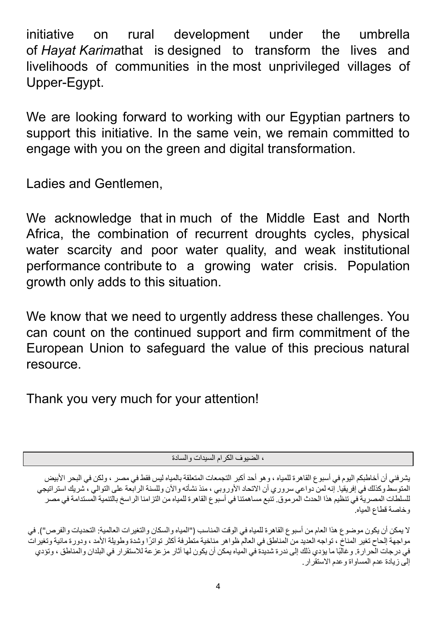initiative on rural development under the umbrella of *Hayat Karima*that is designed to transform the lives and livelihoods of communities in the most unprivileged villages of Upper-Egypt.

We are looking forward to working with our Egyptian partners to support this initiative. In the same vein, we remain committed to engage with you on the green and digital transformation.

Ladies and Gentlemen,

We acknowledge that in much of the Middle East and North Africa, the combination of recurrent droughts cycles, physical water scarcity and poor water quality, and weak institutional performance contribute to a growing water crisis. Population growth only adds to this situation.

We know that we need to urgently address these challenges. You can count on the continued support and firm commitment of the European Union to safeguard the value of this precious natural resource.

Thank you very much for your attention!

، الضيوف الكرام السيدات والسادة

يشرفني أن أخاطبكم اليوم في أسبوع القاهرة للمياه ، وهو أحد أكبر التجمعات المتعلقة بالمياه ليس فقط في مصر ، ولكن في البحر الأبيض المتوسط وكذلك في إفريقيا. إنه لمن دواعي سروري أن الاتحاد الأوروبي ، منذ نشأته والآن وللسنة الرابعة على التوالي ، شريك استراتيجي للسلطات المصرية في تنظيم هذا الحدث المرموق. تنبع مساهمتنا في أسبوع القاهرة للمياه من التزامنا الراسخ بالتنمية المستدامة في مصر وخاصة قطاع المياه.

لا يمكن أن يكون موضوع هذا العام من أسبوع القاهرة للمياه في الوقت المناسب ("المياه والسكان والتغيرات العالمية: التحديات والفرص"). في مواجهة إلحاح تغير المناخ ، تواجه العديد من المناطق في العالم ظواهر مناخية متطرفة أكثر تواترًا وشدة وطويلة الأمد ، ودورة مائية وتغيرات في درجات الحرارة. وغالًبا ما يؤدي ذلك إلى ندرة شديدة في المياه يمكن أن يكون لها آثار مزعزعة لالستقرار في البلدان والمناطق ، وتؤدي إلى زيادة عدم المساواة وعدم االستقرار.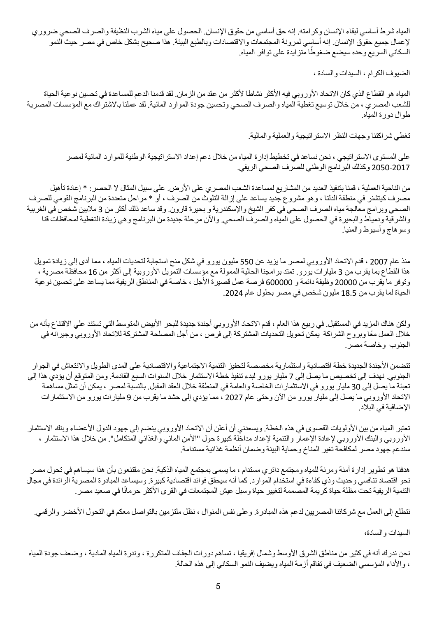المياه شرط أساسي لبقاء اإلنسان وكرامته. إنه حق أساسي من حقوق اإلنسان. الحصول على مياه الشرب النظيفة والصرف الصحي ضروري إلعمال جميع حقوق اإلنسان. إنه أساسي لمرونة المجتمعات واالقتصادات وبالطبع البيئة. هذا صحيح بشكل خاص في مصر حيث النمو السكاني السريع وحده سيضع ضغ ًوطا متزايدة على توافر المياه.

الضيوف الكرام ، السيدات والسادة ،

المياه هو القطاع الذي كان الاتحاد الأوروبي فيه الأكثر نشاطا لأكثر من عقد من الزمان. لقد قدمنا الدعم للمساعدة في تحسين نوعية الحياة للشعب المصري ، من خالل توسيع تغطية المياه والصرف الصحي وتحسين جودة الموارد المائية. لقد عملنا باالشتراك مع المؤسسات المصرية طوال دورة المياه.

تغطي شراكتنا وجهات النظر االستراتيجية والعملية والمالية.

على المستوى االستراتيجي ، نحن نساعد في تخطيط إدارة المياه من خالل دعم إعداد االستراتيجية الوطنية للموارد المائية لمصر 2050-2017 وكذلك البرنامج الوطني للصرف الصحي الريفي.

من الناحية العملية ، قمنا بتنفيذ العديد من المشاريع لمساعدة الشعب المصري على الأرض. على سبيل المثال لا الحصر : \* إعادة تأهيل مصرف كيتشنر في منطقة الدلتا ، وهو مشروع جديد يساعد على إزالة التلوث من الصرف ، أو \* مراحل متعددة من البرنامج القومي للصرف الصحي وبرامج معالجة مياه الصرف الصحي في كفر الشيخ واإلسكندرية و بحيرة قارون. وقد ساعد ذلك أكثر من 3 ماليين شخص في الغربية والشرقية ودمياط والبحيرة في الحصول على المياه والصرف الصحي. واآلن مرحلة جديدة من البرنامج وهي زيادة التغطية لمحافظات قنا وسوهاج وأسيوط والمنيا.

منذ عام 2007 ، قدم الاتحاد الأوروبي لمصر ما يزيد عن 550 مليون يورو في شكل منح استجابة لتحديات المياه ، مما أدى إلى زيادة تمويل هذا القطاع بما يقرب من 3 مليارات يورو . تمتد برامجنا الحالية الممولة مع مؤسسات التمويل الأوروبية إلى أكثر من 16 محافظة مصرية ، وتوفر ما يقرب من 20000 وظيفة دائمة و 600000 فرصة عمل قصيرة الأجل ، خاصة في المناطق الريفية مما يساعد على تحسين نوعية الحياة لما يقرب من 18.5 مليون شخص في مصر بحلول عام 2024.

ولكن هناك المزيد في المستقبل. في ربيع هذا العام ، قدم الاتحاد الأوروبي أجندة جديدة للبحر الأبيض المتوسط التي تستند علي الاقتناع بأنه من خلال العمل معًا وبروح الشراكة يمكن تحويل التحديات المشتركة إلى فرص ، من أجل المصلحة المشتركة للاتحاد الأوروبي وجيرانه في الجنوب وخاصة مصر.

تتضمن الأجندة الجديدة خطة اقتصادية واستثمارية مخصصة لتحفيز التنمية الاجتماعية والاقتصادية على المدى الطويل والانتعاش في الجوار الجنوبي. نهدف إلى تخصيص ما يصل إلى 7 مليار يورو لبدء تنفيذ خطة االستثمار خالل السنوات السبع القادمة. ومن المتوقع أن يؤدي هذا إلى تعبئة ما يصل إلى 30 مليار يورو في الاستثمارات الخاصة والعامة في المنطقة خلال العقد المقبل. بالنسبة لمصر ، يمكن أن تمثل مساهمة الاتحاد الأوروبي ما يصل إلى مليار يورو من الأن وحتى عام 2027 ، مما يؤدي إلى حشد ما يقرب من 9 مليارات يورو من الاستثمارات اإلضافية في البالد.

تعتبر المياه من بين الأولويات القصوى في هذه الخطة. ويسعدني أن أعلن أن الاتحاد الأوروبي ينضم إلى جهود الدول الأعضاء وبنك الاستثمار الأوروبي والبنك الأوروبي لإعادة الإعمار والتنمية لإعداد مداخلة كبيرة حول "الأمن المائي والغذائي المتكامل". من خلال هذا الاستثمار ، سندعم جهود مصر لمكافحة تغير المناخ وحماية البيئة وضمان أنظمة غذائية مستدامة.

هدفنا هو تطوير إدارة آمنة ومرنة للمياه ومجتمع دائري مستدام ، ما يسمى بمجتمع المياه الذكية. نحن مقتنعون بأن هذا سيساهم في تحول مصر نحو اقتصاد تنافسي وحديث وذي كفاءة في استخدام الموارد. كما أنه سيحقق فوائد اقتصادية كبيرة. وسيساعد المبادرة المصرية الرائدة في مجال التنمية الريفية تحت مظلة حياة كريمة المصممة لتغيير حياة وسبل عيش المجتمعات في القرى الأكثر حرمانًا في صعيد مصر .

نتطلع إلى العمل مع شركائنا المصريين لدعم هذه المبادرة. وعلى نفس المنوال ، نظل ملتزمين بالتواصل معكم في التحول األخضر والرقمي.

السيدات والسادة،

نحن ندرك أنه في كثير من مناطق الشرق الأوسط وشمال إفريقيا ، تساهم دورات الجفاف المتكررة ، وندرة المياه المادية ، وضعف جودة المياه ، واألداء المؤسسي الضعيف في تفاقم أزمة المياه ويضيف النمو السكاني إلى هذه الحالة.